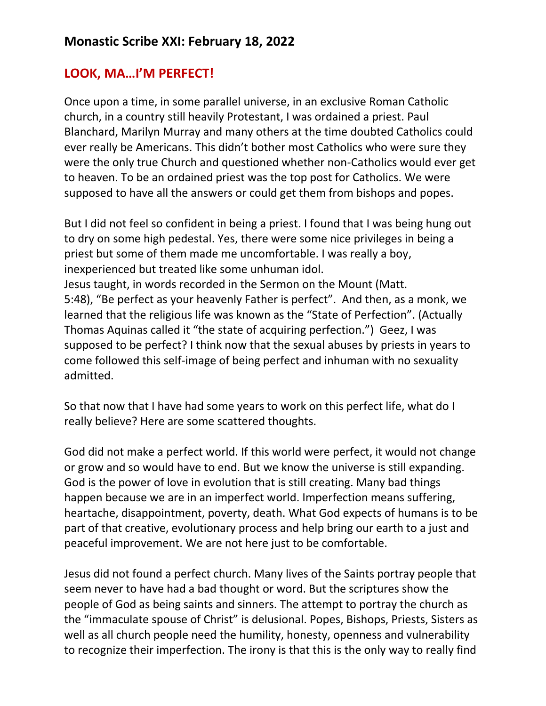## **LOOK, MA…I'M PERFECT!**

Once upon a time, in some parallel universe, in an exclusive Roman Catholic church, in a country still heavily Protestant, I was ordained a priest. Paul Blanchard, Marilyn Murray and many others at the time doubted Catholics could ever really be Americans. This didn't bother most Catholics who were sure they were the only true Church and questioned whether non-Catholics would ever get to heaven. To be an ordained priest was the top post for Catholics. We were supposed to have all the answers or could get them from bishops and popes.

But I did not feel so confident in being a priest. I found that I was being hung out to dry on some high pedestal. Yes, there were some nice privileges in being a priest but some of them made me uncomfortable. I was really a boy, inexperienced but treated like some unhuman idol. Jesus taught, in words recorded in the Sermon on the Mount (Matt. 5:48), "Be perfect as your heavenly Father is perfect". And then, as a monk, we learned that the religious life was known as the "State of Perfection". (Actually Thomas Aquinas called it "the state of acquiring perfection.") Geez, I was supposed to be perfect? I think now that the sexual abuses by priests in years to come followed this self-image of being perfect and inhuman with no sexuality admitted.

So that now that I have had some years to work on this perfect life, what do I really believe? Here are some scattered thoughts.

God did not make a perfect world. If this world were perfect, it would not change or grow and so would have to end. But we know the universe is still expanding. God is the power of love in evolution that is still creating. Many bad things happen because we are in an imperfect world. Imperfection means suffering, heartache, disappointment, poverty, death. What God expects of humans is to be part of that creative, evolutionary process and help bring our earth to a just and peaceful improvement. We are not here just to be comfortable.

Jesus did not found a perfect church. Many lives of the Saints portray people that seem never to have had a bad thought or word. But the scriptures show the people of God as being saints and sinners. The attempt to portray the church as the "immaculate spouse of Christ" is delusional. Popes, Bishops, Priests, Sisters as well as all church people need the humility, honesty, openness and vulnerability to recognize their imperfection. The irony is that this is the only way to really find